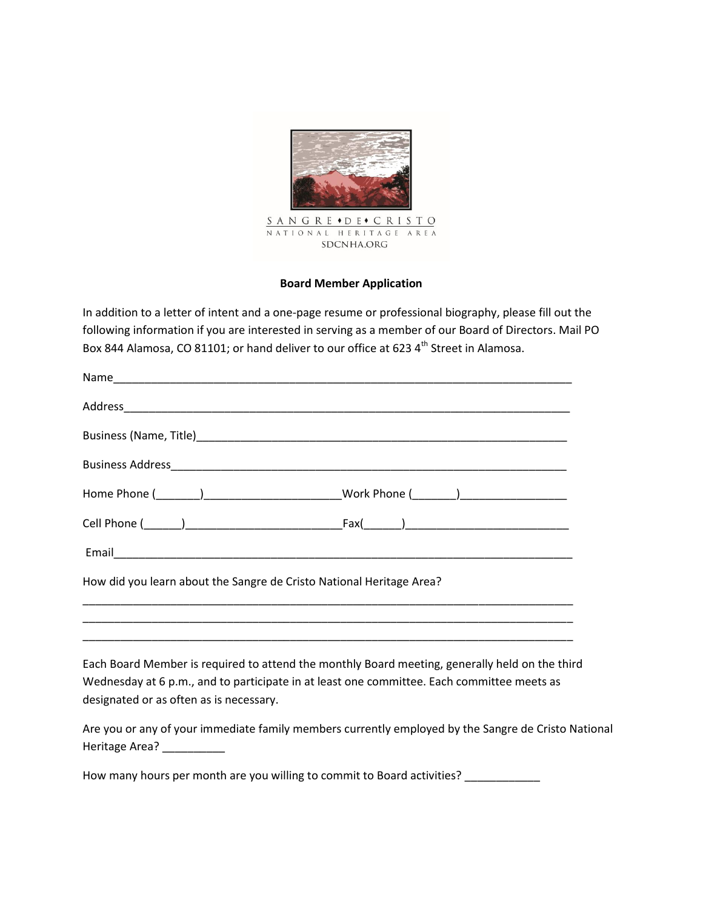

## **Board Member Application**

In addition to a letter of intent and a one-page resume or professional biography, please fill out the following information if you are interested in serving as a member of our Board of Directors. Mail PO Box 844 Alamosa, CO 81101; or hand deliver to our office at 623 4<sup>th</sup> Street in Alamosa.

| How did you learn about the Sangre de Cristo National Heritage Area? |                                                                                                                                                                                              |
|----------------------------------------------------------------------|----------------------------------------------------------------------------------------------------------------------------------------------------------------------------------------------|
|                                                                      | <u> 1989 - Johann Stoff, amerikansk politiker (d. 1989)</u>                                                                                                                                  |
| designated or as often as is necessary.                              | Each Board Member is required to attend the monthly Board meeting, generally held on the third<br>Wednesday at 6 p.m., and to participate in at least one committee. Each committee meets as |
|                                                                      | $\mathbf{A}$ and the second contract of the second contract of the second contract of $\mathbf{A}$ and $\mathbf{A}$ are $\mathbf{A}$ and $\mathbf{A}$                                        |

Are you or any of your immediate family members currently employed by the Sangre de Cristo National Heritage Area?

How many hours per month are you willing to commit to Board activities? \_\_\_\_\_\_\_\_\_